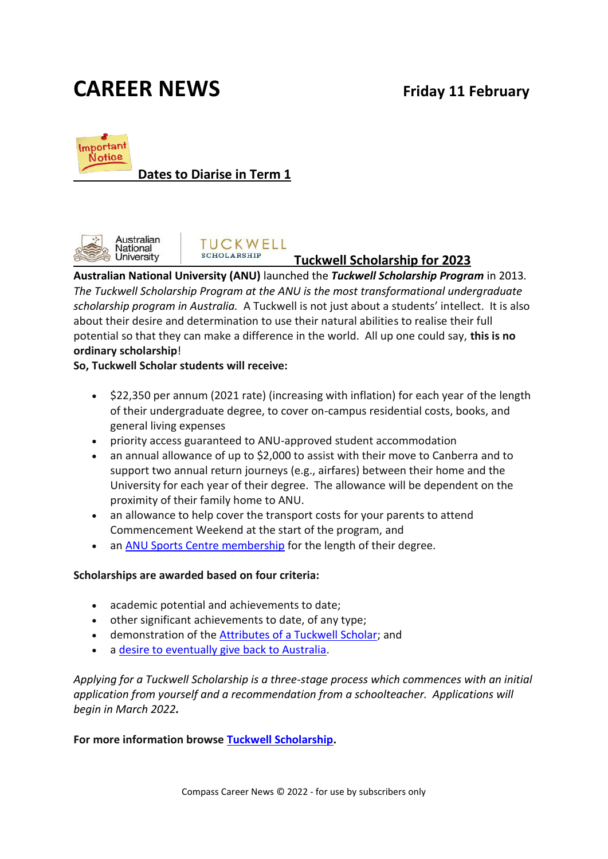# **CAREER NEWS Friday 11 February**



#### **Dates to Diarise in Term 1**



#### **TUCKWELL SCHOLARSHIP**

#### **Tuckwell Scholarship for 2023**

**Australian National University (ANU)** launched the *Tuckwell Scholarship Program* in 2013*. The Tuckwell Scholarship Program at the ANU is the most transformational undergraduate scholarship program in Australia.* A Tuckwell is not just about a students' intellect. It is also about their desire and determination to use their natural abilities to realise their full potential so that they can make a difference in the world. All up one could say, **this is no ordinary scholarship**!

#### **So, Tuckwell Scholar students will receive:**

- \$22,350 per annum (2021 rate) (increasing with inflation) for each year of the length of their undergraduate degree, to cover on-campus residential costs, books, and general living expenses
- priority access guaranteed to ANU-approved student accommodation
- an annual allowance of up to \$2,000 to assist with their move to Canberra and to support two annual return journeys (e.g., airfares) between their home and the University for each year of their degree. The allowance will be dependent on the proximity of their family home to ANU.
- an allowance to help cover the transport costs for your parents to attend Commencement Weekend at the start of the program, and
- an [ANU Sports Centre membership](http://www.anu-sport.com.au/fitness-centre) for the length of their degree.

#### **Scholarships are awarded based on four criteria:**

- academic potential and achievements to date;
- other significant achievements to date, of any type;
- demonstration of the [Attributes of a Tuckwell Scholar;](https://tuckwell.anu.edu.au/applying/who-are-we-looking/attributes-tuckwell-scholar) and
- a [desire to eventually give back to Australia.](https://tuckwell.anu.edu.au/applying/who-are-we-looking/connected-committed-australia)

*Applying for a Tuckwell Scholarship is a three-stage process which commences with an initial application from yourself and a recommendation from a schoolteacher. Applications will begin in March 2022.*

**For more information browse [Tuckwell Scholarship.](http://tuckwell.anu.edu.au/home/)**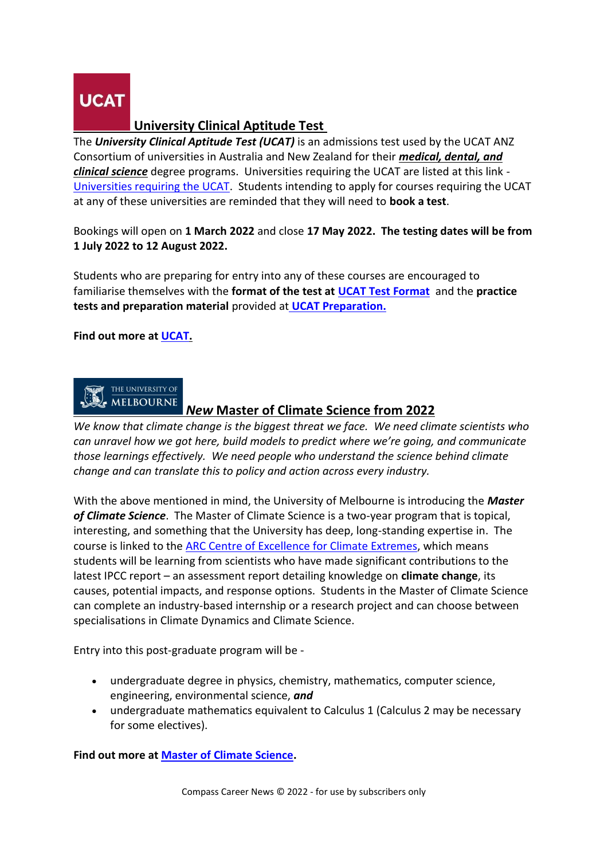

#### **University Clinical Aptitude Test**

The *University Clinical Aptitude Test (UCAT)* is an admissions test used by the UCAT ANZ Consortium of universities in Australia and New Zealand for their *medical, dental, and clinical science* degree programs. Universities requiring the UCAT are listed at this link - [Universities requiring the UCAT.](https://www.ucat.edu.au/ucat-anz/universities/) Students intending to apply for courses requiring the UCAT at any of these universities are reminded that they will need to **book a test**.

Bookings will open on **1 March 2022** and close **17 May 2022. The testing dates will be from 1 July 2022 to 12 August 2022.**

Students who are preparing for entry into any of these courses are encouraged to familiarise themselves with the **format of the test at [UCAT Test Format](https://www.ucat.edu.au/ucat-anz/test-format/)** and the **practice tests and preparation material** provided at **[UCAT Preparation.](https://www.ucat.edu.au/ucat-anz/practice-tests/)**

**Find out more at [UCAT.](https://www.ucat.edu.au/)**



#### *New* **Master of Climate Science from 2022**

*We know that climate change is the biggest threat we face. We need climate scientists who can unravel how we got here, build models to predict where we're going, and communicate those learnings effectively. We need people who understand the science behind climate change and can translate this to policy and action across every industry.*

With the above mentioned in mind, the University of Melbourne is introducing the *Master of Climate Science*. The Master of Climate Science is a two-year program that is topical, interesting, and something that the University has deep, long-standing expertise in. The course is linked to the [ARC Centre of Excellence for Climate Extremes,](https://climateextremes.org.au/) which means students will be learning from scientists who have made significant contributions to the latest IPCC report – an assessment report detailing knowledge on **climate change**, its causes, potential impacts, and response options. Students in the Master of Climate Science can complete an industry-based internship or a research project and can choose between specialisations in Climate Dynamics and Climate Science.

Entry into this post-graduate program will be -

- undergraduate degree in physics, chemistry, mathematics, computer science, engineering, environmental science, *and*
- undergraduate mathematics equivalent to Calculus 1 (Calculus 2 may be necessary for some electives).

**Find out more at [Master of Climate Science.](https://study.unimelb.edu.au/find/courses/graduate/master-of-climate-science/)**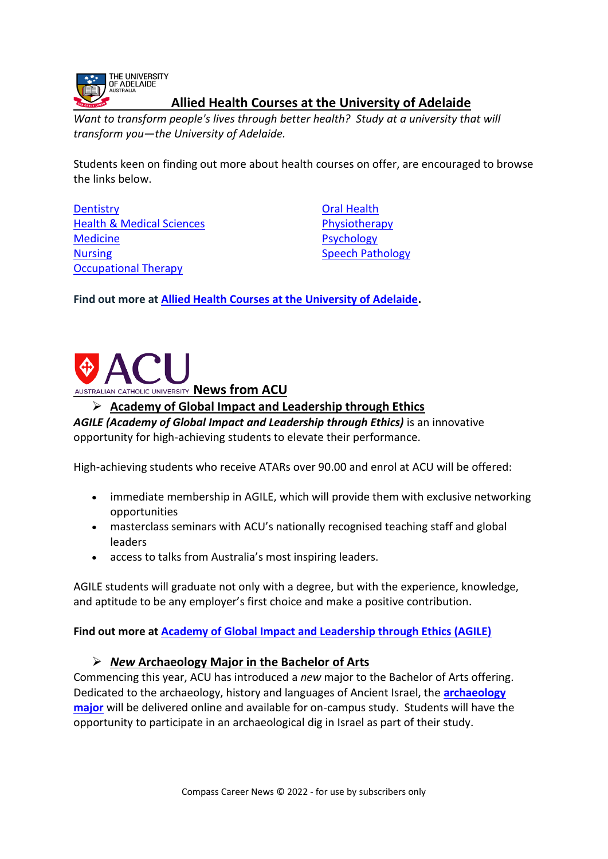

#### **Allied Health Courses at the University of Adelaide**

*Want to transform people's lives through better health? Study at a university that will transform you—the University of Adelaide.*

Students keen on finding out more about health courses on offer, are encouraged to browse the links below.

**[Dentistry](https://www.adelaide.edu.au/degree-finder/ug/dentistry/)** [Health & Medical Sciences](https://www.adelaide.edu.au/degree-finder/ug/healthsci/) [Medicine](https://www.adelaide.edu.au/degree-finder/ug/med/) [Nursing](https://www.adelaide.edu.au/degree-finder/ug/nursing/) [Occupational Therapy](https://www.adelaide.edu.au/degree-finder/2021/hocth_hboccther.html)

[Oral Health](https://www.adelaide.edu.au/degree-finder/?m=view&dsn=program.source_program&year=2021&v_avail_comm=1&v_subject=319) **[Physiotherapy](https://www.adelaide.edu.au/degree-finder/hphys_hbphys.html)** [Psychology](https://www.adelaide.edu.au/degree-finder/ug/psych/) [Speech Pathology](https://www.adelaide.edu.au/degree-finder/hsppa_hbsppath.html)

**Find out more at [Allied Health Courses at the University of Adelaide.](https://www.adelaide.edu.au/study/health/)**



**Academy of Global Impact and Leadership through Ethics**

*AGILE (Academy of Global Impact and Leadership through Ethics)* is an innovative opportunity for high-achieving students to elevate their performance.

High-achieving students who receive ATARs over 90.00 and enrol at ACU will be offered:

- immediate membership in AGILE, which will provide them with exclusive networking opportunities
- masterclass seminars with ACU's nationally recognised teaching staff and global leaders
- access to talks from Australia's most inspiring leaders.

AGILE students will graduate not only with a degree, but with the experience, knowledge, and aptitude to be any employer's first choice and make a positive contribution.

**Find out more at [Academy of Global Impact and Leadership through Ethics \(AGILE\)](https://www.acu.edu.au/study-at-acu/why-study-at-acu/agile?_cldee=amFja3kuYnVydG9uQGtub3gudmljLmVkdS5hdQ%3d%3d&recipientid=contact-e25b8c84f79ce311b6fcd89d6765b220-612ca3b1bfe74857b99eac878e39e626&utm_source=ClickDimensions&utm_medium=email&utm_campaign=2021%20FS%20%7C%20VIC%20%7C%20ACU%20Updates%20Newsletter&esid=34cd7a34-3238-ec11-8c64-0022480fefee)**

#### *New* **Archaeology Major in the Bachelor of Arts**

Commencing this year, ACU has introduced a *new* major to the Bachelor of Arts offering. Dedicated to the archaeology, history and languages of Ancient Israel, the **[archaeology](https://elink.clickdimensions.com/c/6/?T=MzExNTYxNjM%3AMDItYjIxMzA3LTQ2NTkyMWUxMDBmYzRhMDhhMGZmZjNlOTBlZDE5NDE5%3AamFja3kuYnVydG9uQGtub3gudmljLmVkdS5hdQ%3AY29udGFjdC1lMjViOGM4NGY3OWNlMzExYjZmY2Q4OWQ2NzY1YjIyMC02MTJjYTNiMWJmZTc0ODU3Yjk5ZWFjODc4ZTM5ZTYyNg%3AZmFsc2U%3AMTk%3A%3AaHR0cHM6Ly93d3cuYWN1LmVkdS5hdS9zdHVkeS1hdC1hY3UvZmluZC1hLWNvdXJzZS9uZXctY291cnNlcy9hcmNoYWVvbG9neT9fY2xkZWU9YW1GamEza3VZblZ5ZEc5dVFHdHViM2d1ZG1sakxtVmtkUzVoZFElM2QlM2QmcmVjaXBpZW50aWQ9Y29udGFjdC1lMjViOGM4NGY3OWNlMzExYjZmY2Q4OWQ2NzY1YjIyMC02MTJjYTNiMWJmZTc0ODU3Yjk5ZWFjODc4ZTM5ZTYyNiZ1dG1fc291cmNlPUNsaWNrRGltZW5zaW9ucyZ1dG1fbWVkaXVtPWVtYWlsJnV0bV9jYW1wYWlnbj0yMDIxJTIwRlMlMjAlN0MlMjBWSUMlMjAlN0MlMjBBQ1UlMjBVcGRhdGVzJTIwTmV3c2xldHRlciZlc2lkPTM0Y2Q3YTM0LTMyMzgtZWMxMS04YzY0LTAwMjI0ODBmZWZlZQ&K=oDPWZ9Nwh-ta3t47tbKlXg)  [major](https://elink.clickdimensions.com/c/6/?T=MzExNTYxNjM%3AMDItYjIxMzA3LTQ2NTkyMWUxMDBmYzRhMDhhMGZmZjNlOTBlZDE5NDE5%3AamFja3kuYnVydG9uQGtub3gudmljLmVkdS5hdQ%3AY29udGFjdC1lMjViOGM4NGY3OWNlMzExYjZmY2Q4OWQ2NzY1YjIyMC02MTJjYTNiMWJmZTc0ODU3Yjk5ZWFjODc4ZTM5ZTYyNg%3AZmFsc2U%3AMTk%3A%3AaHR0cHM6Ly93d3cuYWN1LmVkdS5hdS9zdHVkeS1hdC1hY3UvZmluZC1hLWNvdXJzZS9uZXctY291cnNlcy9hcmNoYWVvbG9neT9fY2xkZWU9YW1GamEza3VZblZ5ZEc5dVFHdHViM2d1ZG1sakxtVmtkUzVoZFElM2QlM2QmcmVjaXBpZW50aWQ9Y29udGFjdC1lMjViOGM4NGY3OWNlMzExYjZmY2Q4OWQ2NzY1YjIyMC02MTJjYTNiMWJmZTc0ODU3Yjk5ZWFjODc4ZTM5ZTYyNiZ1dG1fc291cmNlPUNsaWNrRGltZW5zaW9ucyZ1dG1fbWVkaXVtPWVtYWlsJnV0bV9jYW1wYWlnbj0yMDIxJTIwRlMlMjAlN0MlMjBWSUMlMjAlN0MlMjBBQ1UlMjBVcGRhdGVzJTIwTmV3c2xldHRlciZlc2lkPTM0Y2Q3YTM0LTMyMzgtZWMxMS04YzY0LTAwMjI0ODBmZWZlZQ&K=oDPWZ9Nwh-ta3t47tbKlXg)** will be delivered online and available for on-campus study. Students will have the opportunity to participate in an archaeological dig in Israel as part of their study.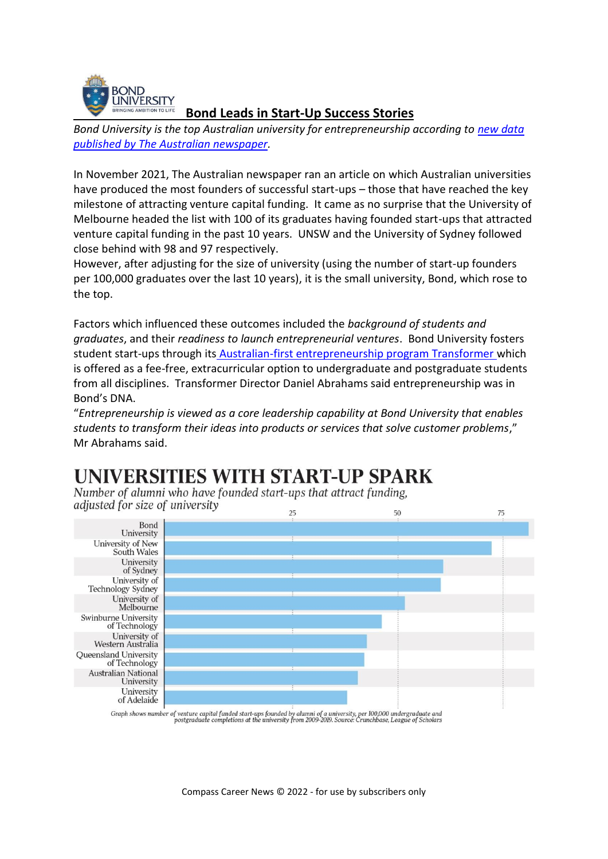

#### **Bond Leads in Start-Up Success Stories**

*Bond University is the top Australian university for entrepreneurship according to [new data](https://www.theaustralian.com.au/special-reports/for-its-size-bond-university-has-produced-most-entrepreneurs/news-story/8ac88b080841bd302532598d4013ce45)  [published by The Australian newspaper.](https://www.theaustralian.com.au/special-reports/for-its-size-bond-university-has-produced-most-entrepreneurs/news-story/8ac88b080841bd302532598d4013ce45)*

In November 2021, The Australian newspaper ran an article on which Australian universities have produced the most founders of successful start-ups – those that have reached the key milestone of attracting venture capital funding. It came as no surprise that the University of Melbourne headed the list with 100 of its graduates having founded start-ups that attracted venture capital funding in the past 10 years. UNSW and the University of Sydney followed close behind with 98 and 97 respectively.

However, after adjusting for the size of university (using the number of start-up founders per 100,000 graduates over the last 10 years), it is the small university, Bond, which rose to the top.

Factors which influenced these outcomes included the *background of students and graduates*, and their *readiness to launch entrepreneurial ventures*. Bond University fosters student start-ups through its [Australian-first entrepreneurship program Transformer](https://bond.edu.au/transformer) which is offered as a fee-free, extracurricular option to undergraduate and postgraduate students from all disciplines. Transformer Director Daniel Abrahams said entrepreneurship was in Bond's DNA.

"*Entrepreneurship is viewed as a core leadership capability at Bond University that enables students to transform their ideas into products or services that solve customer problems*," Mr Abrahams said.

## **UNIVERSITIES WITH START-UP SPARK**

Number of alumni who have founded start-ups that attract funding, adjusted for size of university  $25$ 



Graph shows number of venture capital funded start-ups founded by alumni of a university, per 100,000 undergraduate and<br>postgraduate completions at the university from 2009-2019. Source: Crunchbase, League of Scholars

Compass Career News © 2022 - for use by subscribers only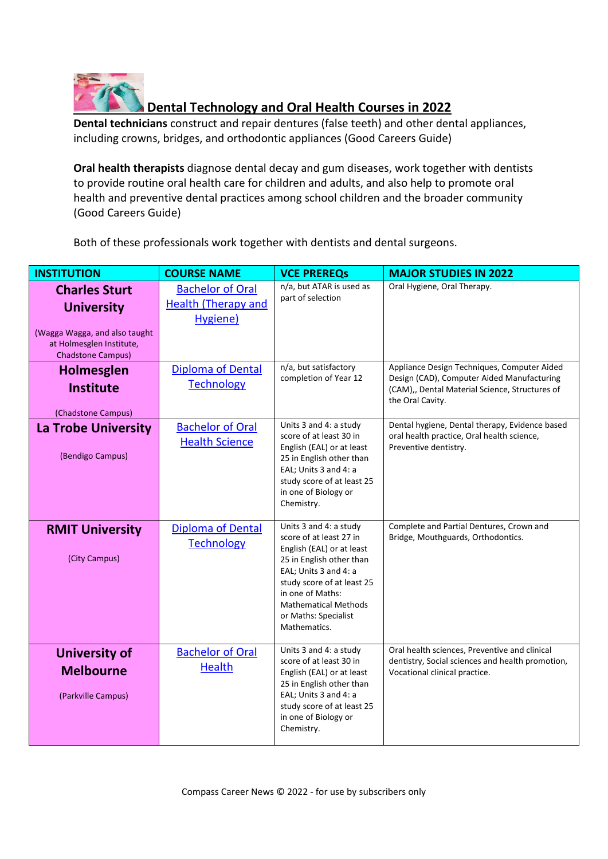

### **Dental Technology and Oral Health Courses in 2022**

**Dental technicians** construct and repair dentures (false teeth) and other dental appliances, including crowns, bridges, and orthodontic appliances (Good Careers Guide)

**Oral health therapists** diagnose dental decay and gum diseases, work together with dentists to provide routine oral health care for children and adults, and also help to promote oral health and preventive dental practices among school children and the broader community (Good Careers Guide)

Both of these professionals work together with dentists and dental surgeons.

| <b>INSTITUTION</b>                                                                                                                 | <b>COURSE NAME</b>                                                | <b>VCE PREREQS</b>                                                                                                                                                                                                                                           | <b>MAJOR STUDIES IN 2022</b>                                                                                                                                    |
|------------------------------------------------------------------------------------------------------------------------------------|-------------------------------------------------------------------|--------------------------------------------------------------------------------------------------------------------------------------------------------------------------------------------------------------------------------------------------------------|-----------------------------------------------------------------------------------------------------------------------------------------------------------------|
| <b>Charles Sturt</b><br><b>University</b><br>(Wagga Wagga, and also taught<br>at Holmesglen Institute,<br><b>Chadstone Campus)</b> | <b>Bachelor of Oral</b><br><b>Health (Therapy and</b><br>Hygiene) | n/a, but ATAR is used as<br>part of selection                                                                                                                                                                                                                | Oral Hygiene, Oral Therapy.                                                                                                                                     |
| <b>Holmesglen</b><br><b>Institute</b><br>(Chadstone Campus)                                                                        | <b>Diploma of Dental</b><br><b>Technology</b>                     | n/a, but satisfactory<br>completion of Year 12                                                                                                                                                                                                               | Appliance Design Techniques, Computer Aided<br>Design (CAD), Computer Aided Manufacturing<br>(CAM),, Dental Material Science, Structures of<br>the Oral Cavity. |
| La Trobe University<br>(Bendigo Campus)                                                                                            | <b>Bachelor of Oral</b><br><b>Health Science</b>                  | Units 3 and 4: a study<br>score of at least 30 in<br>English (EAL) or at least<br>25 in English other than<br>EAL; Units 3 and 4: a<br>study score of at least 25<br>in one of Biology or<br>Chemistry.                                                      | Dental hygiene, Dental therapy, Evidence based<br>oral health practice, Oral health science,<br>Preventive dentistry.                                           |
| <b>RMIT University</b><br>(City Campus)                                                                                            | <b>Diploma of Dental</b><br><b>Technology</b>                     | Units 3 and 4: a study<br>score of at least 27 in<br>English (EAL) or at least<br>25 in English other than<br>EAL; Units 3 and 4: a<br>study score of at least 25<br>in one of Maths:<br><b>Mathematical Methods</b><br>or Maths: Specialist<br>Mathematics. | Complete and Partial Dentures, Crown and<br>Bridge, Mouthguards, Orthodontics.                                                                                  |
| <b>University of</b><br><b>Melbourne</b><br>(Parkville Campus)                                                                     | <b>Bachelor of Oral</b><br><b>Health</b>                          | Units 3 and 4: a study<br>score of at least 30 in<br>English (EAL) or at least<br>25 in English other than<br>EAL; Units 3 and 4: a<br>study score of at least 25<br>in one of Biology or<br>Chemistry.                                                      | Oral health sciences, Preventive and clinical<br>dentistry, Social sciences and health promotion,<br>Vocational clinical practice.                              |